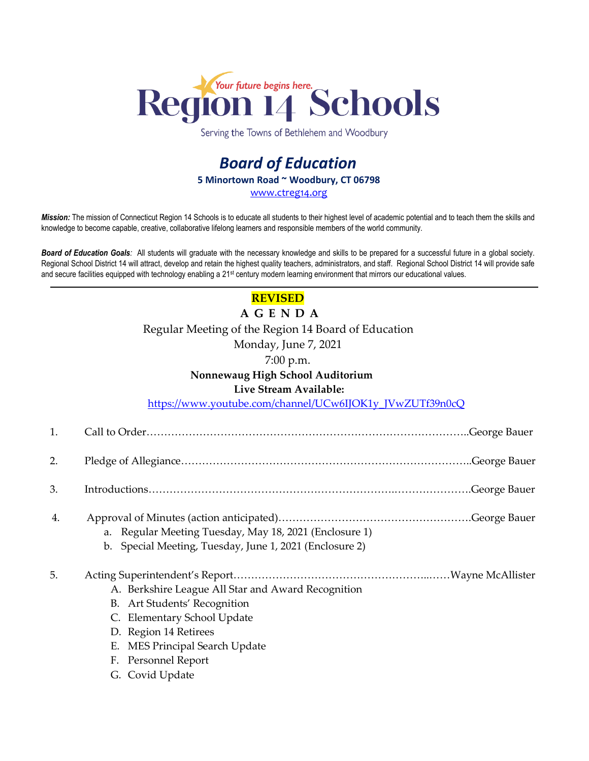

Serving the Towns of Bethlehem and Woodbury

# *Board of Education* **5 Minortown Road ~ Woodbury, CT 06798** [www.ctreg14.org](http://www.ctreg14.org/)

*Mission:* The mission of Connecticut Region 14 Schools is to educate all students to their highest level of academic potential and to teach them the skills and knowledge to become capable, creative, collaborative lifelong learners and responsible members of the world community.

*Board of Education Goals:* All students will graduate with the necessary knowledge and skills to be prepared for a successful future in a global society. Regional School District 14 will attract, develop and retain the highest quality teachers, administrators, and staff. Regional School District 14 will provide safe and secure facilities equipped with technology enabling a 21<sup>st</sup> century modern learning environment that mirrors our educational values.

# **REVISED**

**A G E N D A** Regular Meeting of the Region 14 Board of Education

Monday, June 7, 2021

7:00 p.m.

## **Nonnewaug High School Auditorium**

### **Live Stream Available:**

[https://www.youtube.com/channel/UCw6IJOK1y\\_JVwZUTf39n0cQ](https://www.youtube.com/channel/UCw6IJOK1y_JVwZUTf39n0cQ)

2. Pledge of Allegiance………………………………………………………………………..George Bauer

- 3. Introductions…………………………………………………………….………………….George Bauer
- 4. Approval of Minutes (action anticipated)……………………………………………….George Bauer
	- a. Regular Meeting Tuesday, May 18, 2021 (Enclosure 1)
	- b. Special Meeting, Tuesday, June 1, 2021 (Enclosure 2)

# 5. Acting Superintendent's Report………………………………………………..……Wayne McAllister

- A. Berkshire League All Star and Award Recognition
- B. Art Students' Recognition
- C. Elementary School Update
- D. Region 14 Retirees
- E. MES Principal Search Update
- F. Personnel Report
- G. Covid Update